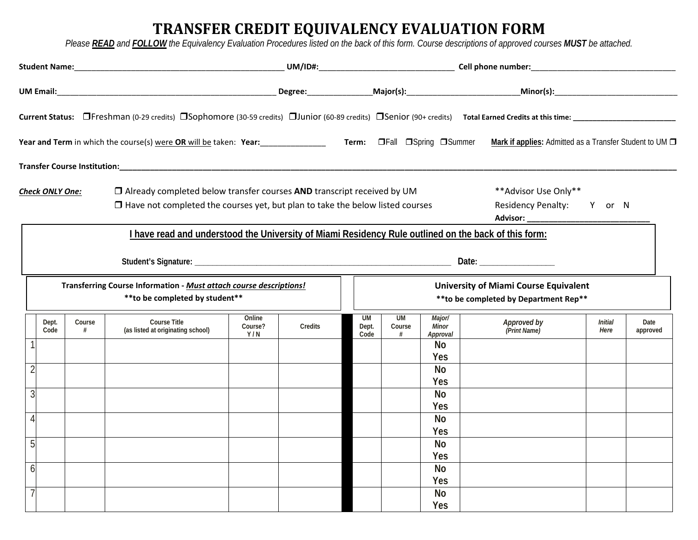## **TRANSFER CREDIT EQUIVALENCY EVALUATION FORM**

*Please READ and FOLLOW the Equivalency Evaluation Procedures listed on the back of this form. Course descriptions of approved courses MUST be attached.* 

|                                                                                                                                                                                          |               |             |                                                                                                      |                          |                                                                                        |  |                            |                          |                             | Mark if applies: Admitted as a Transfer Student to UM D |                        |                  |
|------------------------------------------------------------------------------------------------------------------------------------------------------------------------------------------|---------------|-------------|------------------------------------------------------------------------------------------------------|--------------------------|----------------------------------------------------------------------------------------|--|----------------------------|--------------------------|-----------------------------|---------------------------------------------------------|------------------------|------------------|
|                                                                                                                                                                                          |               |             |                                                                                                      |                          |                                                                                        |  |                            |                          |                             |                                                         |                        |                  |
| $\Box$ Already completed below transfer courses AND transcript received by UM<br>Check ONLY One:<br>$\Box$ Have not completed the courses yet, but plan to take the below listed courses |               |             |                                                                                                      |                          |                                                                                        |  |                            |                          |                             | ** Advisor Use Only**<br>Residency Penalty: Y or N      |                        |                  |
|                                                                                                                                                                                          |               |             | I have read and understood the University of Miami Residency Rule outlined on the back of this form: |                          |                                                                                        |  |                            |                          |                             |                                                         |                        |                  |
|                                                                                                                                                                                          |               |             |                                                                                                      |                          |                                                                                        |  |                            |                          |                             |                                                         |                        |                  |
| Transferring Course Information - Must attach course descriptions!<br>** to be completed by student**                                                                                    |               |             |                                                                                                      |                          | <b>University of Miami Course Equivalent</b><br>** to be completed by Department Rep** |  |                            |                          |                             |                                                         |                        |                  |
|                                                                                                                                                                                          | Dept.<br>Code | Course<br># | <b>Course Title</b><br>(as listed at originating school)                                             | Online<br>Course?<br>Y/N | Credits                                                                                |  | <b>UM</b><br>Dept.<br>Code | <b>UM</b><br>Course<br># | Major/<br>Minor<br>Approval | Approved by<br>(Print Name)                             | <b>Initial</b><br>Here | Date<br>approved |
|                                                                                                                                                                                          |               |             |                                                                                                      |                          |                                                                                        |  |                            |                          | No<br>Yes                   |                                                         |                        |                  |
|                                                                                                                                                                                          |               |             |                                                                                                      |                          |                                                                                        |  |                            |                          | <b>No</b>                   |                                                         |                        |                  |
| 3                                                                                                                                                                                        |               |             |                                                                                                      |                          |                                                                                        |  |                            |                          | Yes<br><b>No</b>            |                                                         |                        |                  |
|                                                                                                                                                                                          |               |             |                                                                                                      |                          |                                                                                        |  |                            |                          | Yes                         |                                                         |                        |                  |
|                                                                                                                                                                                          |               |             |                                                                                                      |                          |                                                                                        |  |                            |                          | <b>No</b>                   |                                                         |                        |                  |
| 5                                                                                                                                                                                        |               |             |                                                                                                      |                          |                                                                                        |  |                            |                          | Yes<br><b>No</b>            |                                                         |                        |                  |
|                                                                                                                                                                                          |               |             |                                                                                                      |                          |                                                                                        |  |                            |                          | Yes                         |                                                         |                        |                  |
| 6                                                                                                                                                                                        |               |             |                                                                                                      |                          |                                                                                        |  |                            |                          | <b>No</b>                   |                                                         |                        |                  |
|                                                                                                                                                                                          |               |             |                                                                                                      |                          |                                                                                        |  |                            |                          | Yes                         |                                                         |                        |                  |
|                                                                                                                                                                                          |               |             |                                                                                                      |                          |                                                                                        |  |                            |                          | <b>No</b>                   |                                                         |                        |                  |
|                                                                                                                                                                                          |               |             |                                                                                                      |                          |                                                                                        |  |                            |                          | Yes                         |                                                         |                        |                  |